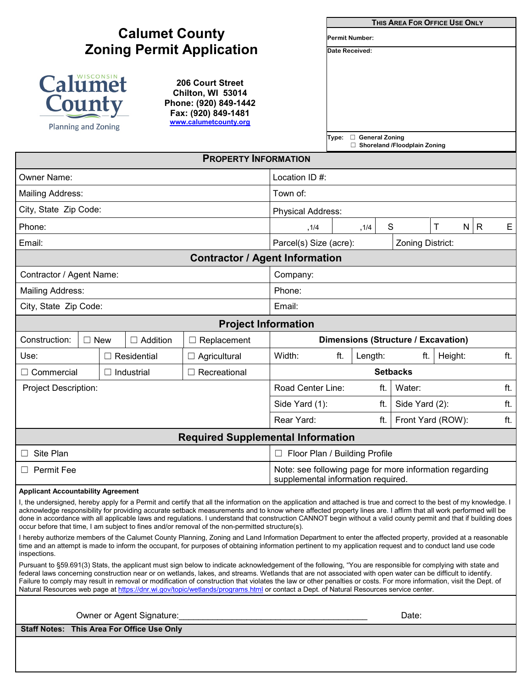|                                                                                                                                                                                                                                                                                                                                                                                                                                                                                                                                                                                                                                                             |                                                                                               |                     |                                            |                                     | THIS AREA FOR OFFICE USE ONLY |                                     |         |     |  |  |
|-------------------------------------------------------------------------------------------------------------------------------------------------------------------------------------------------------------------------------------------------------------------------------------------------------------------------------------------------------------------------------------------------------------------------------------------------------------------------------------------------------------------------------------------------------------------------------------------------------------------------------------------------------------|-----------------------------------------------------------------------------------------------|---------------------|--------------------------------------------|-------------------------------------|-------------------------------|-------------------------------------|---------|-----|--|--|
|                                                                                                                                                                                                                                                                                                                                                                                                                                                                                                                                                                                                                                                             |                                                                                               |                     | <b>Permit Number:</b>                      |                                     |                               |                                     |         |     |  |  |
| <b>Zoning Permit Application</b>                                                                                                                                                                                                                                                                                                                                                                                                                                                                                                                                                                                                                            |                                                                                               |                     |                                            | Date Received:                      |                               |                                     |         |     |  |  |
| Calumet<br>County<br>Planning and Zoning                                                                                                                                                                                                                                                                                                                                                                                                                                                                                                                                                                                                                    |                                                                                               |                     |                                            |                                     |                               |                                     |         |     |  |  |
|                                                                                                                                                                                                                                                                                                                                                                                                                                                                                                                                                                                                                                                             |                                                                                               |                     |                                            | Type:                               | $\Box$ General Zoning         | $\Box$ Shoreland /Floodplain Zoning |         |     |  |  |
| <b>PROPERTY INFORMATION</b>                                                                                                                                                                                                                                                                                                                                                                                                                                                                                                                                                                                                                                 |                                                                                               |                     |                                            |                                     |                               |                                     |         |     |  |  |
| <b>Owner Name:</b>                                                                                                                                                                                                                                                                                                                                                                                                                                                                                                                                                                                                                                          | Location ID #:                                                                                |                     |                                            |                                     |                               |                                     |         |     |  |  |
| <b>Mailing Address:</b>                                                                                                                                                                                                                                                                                                                                                                                                                                                                                                                                                                                                                                     | Town of:                                                                                      |                     |                                            |                                     |                               |                                     |         |     |  |  |
| City, State Zip Code:                                                                                                                                                                                                                                                                                                                                                                                                                                                                                                                                                                                                                                       | Physical Address:                                                                             |                     |                                            |                                     |                               |                                     |         |     |  |  |
| Phone:                                                                                                                                                                                                                                                                                                                                                                                                                                                                                                                                                                                                                                                      |                                                                                               |                     | ,1/4                                       | N R<br>Τ<br>S<br>, 1/4              |                               |                                     | Е       |     |  |  |
| Email:                                                                                                                                                                                                                                                                                                                                                                                                                                                                                                                                                                                                                                                      |                                                                                               |                     | Parcel(s) Size (acre):<br>Zoning District: |                                     |                               |                                     |         |     |  |  |
| <b>Contractor / Agent Information</b>                                                                                                                                                                                                                                                                                                                                                                                                                                                                                                                                                                                                                       |                                                                                               |                     |                                            |                                     |                               |                                     |         |     |  |  |
| Contractor / Agent Name:                                                                                                                                                                                                                                                                                                                                                                                                                                                                                                                                                                                                                                    |                                                                                               |                     | Company:                                   |                                     |                               |                                     |         |     |  |  |
| <b>Mailing Address:</b>                                                                                                                                                                                                                                                                                                                                                                                                                                                                                                                                                                                                                                     |                                                                                               |                     | Phone:                                     |                                     |                               |                                     |         |     |  |  |
| City, State Zip Code:                                                                                                                                                                                                                                                                                                                                                                                                                                                                                                                                                                                                                                       |                                                                                               |                     | Email:                                     |                                     |                               |                                     |         |     |  |  |
| <b>Project Information</b>                                                                                                                                                                                                                                                                                                                                                                                                                                                                                                                                                                                                                                  |                                                                                               |                     |                                            |                                     |                               |                                     |         |     |  |  |
| Construction:                                                                                                                                                                                                                                                                                                                                                                                                                                                                                                                                                                                                                                               | $\Box$ New<br>$\Box$ Addition<br>$\Box$ Replacement                                           |                     |                                            | Dimensions (Structure / Excavation) |                               |                                     |         |     |  |  |
| Use:                                                                                                                                                                                                                                                                                                                                                                                                                                                                                                                                                                                                                                                        | Residential                                                                                   | $\Box$ Agricultural | Width:                                     | ft.                                 | Length:                       | ft.                                 | Height: | ft. |  |  |
| □ Commercial                                                                                                                                                                                                                                                                                                                                                                                                                                                                                                                                                                                                                                                | $\Box$ Industrial                                                                             | $\Box$ Recreational |                                            | <b>Setbacks</b>                     |                               |                                     |         |     |  |  |
| <b>Project Description:</b>                                                                                                                                                                                                                                                                                                                                                                                                                                                                                                                                                                                                                                 |                                                                                               |                     | Road Center Line:                          | ft.<br>ft.<br>Water:                |                               |                                     |         |     |  |  |
|                                                                                                                                                                                                                                                                                                                                                                                                                                                                                                                                                                                                                                                             |                                                                                               |                     | Side Yard (1):                             |                                     | ft.<br>Side Yard (2):         |                                     |         | ft. |  |  |
|                                                                                                                                                                                                                                                                                                                                                                                                                                                                                                                                                                                                                                                             |                                                                                               |                     | Rear Yard:                                 |                                     | Front Yard (ROW):<br>ft.      |                                     |         | ft. |  |  |
| <b>Required Supplemental Information</b>                                                                                                                                                                                                                                                                                                                                                                                                                                                                                                                                                                                                                    |                                                                                               |                     |                                            |                                     |                               |                                     |         |     |  |  |
| Site Plan<br>ш                                                                                                                                                                                                                                                                                                                                                                                                                                                                                                                                                                                                                                              | $\Box$ Floor Plan / Building Profile                                                          |                     |                                            |                                     |                               |                                     |         |     |  |  |
| Permit Fee<br>ப                                                                                                                                                                                                                                                                                                                                                                                                                                                                                                                                                                                                                                             | Note: see following page for more information regarding<br>supplemental information required. |                     |                                            |                                     |                               |                                     |         |     |  |  |
| <b>Applicant Accountability Agreement</b><br>I, the undersigned, hereby apply for a Permit and certify that all the information on the application and attached is true and correct to the best of my knowledge. I<br>acknowledge responsibility for providing accurate setback measurements and to know where affected property lines are. I affirm that all work performed will be<br>done in accordance with all applicable laws and regulations. I understand that construction CANNOT begin without a valid county permit and that if building does<br>occur before that time, I am subject to fines and/or removal of the non-permitted structure(s). |                                                                                               |                     |                                            |                                     |                               |                                     |         |     |  |  |
| I hereby authorize members of the Calumet County Planning, Zoning and Land Information Department to enter the affected property, provided at a reasonable<br>time and an attempt is made to inform the occupant, for purposes of obtaining information pertinent to my application request and to conduct land use code<br>inspections.                                                                                                                                                                                                                                                                                                                    |                                                                                               |                     |                                            |                                     |                               |                                     |         |     |  |  |
| Pursuant to §59.691(3) Stats, the applicant must sign below to indicate acknowledgement of the following, "You are responsible for complying with state and<br>federal laws concerning construction near or on wetlands, lakes, and streams. Wetlands that are not associated with open water can be difficult to identify.<br>Failure to comply may result in removal or modification of construction that violates the law or other penalties or costs. For more information, visit the Dept. of<br>Natural Resources web page at https://dnr.wi.gov/topic/wetlands/programs.html or contact a Dept. of Natural Resources service center.                 |                                                                                               |                     |                                            |                                     |                               |                                     |         |     |  |  |
| Owner or Agent Signature:<br>Date:                                                                                                                                                                                                                                                                                                                                                                                                                                                                                                                                                                                                                          |                                                                                               |                     |                                            |                                     |                               |                                     |         |     |  |  |
|                                                                                                                                                                                                                                                                                                                                                                                                                                                                                                                                                                                                                                                             | <b>Staff Notes: This Area For Office Use Only</b>                                             |                     |                                            |                                     |                               |                                     |         |     |  |  |
|                                                                                                                                                                                                                                                                                                                                                                                                                                                                                                                                                                                                                                                             |                                                                                               |                     |                                            |                                     |                               |                                     |         |     |  |  |

٦